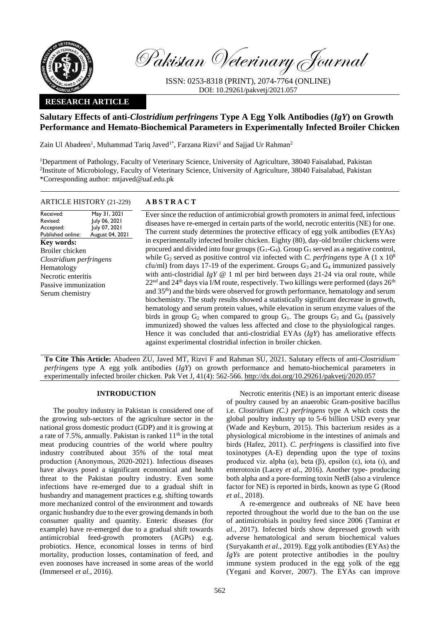

Pakistan Veterinary Journal

ISSN: 0253-8318 (PRINT), 2074-7764 (ONLINE) DOI: 10.29261/pakvetj/2021.057

# **RESEARCH ARTICLE**

# **Salutary Effects of anti-***Clostridium perfringens* **Type A Egg Yolk Antibodies (***IgY***) on Growth Performance and Hemato-Biochemical Parameters in Experimentally Infected Broiler Chicken**

Zain Ul Abadeen<sup>1</sup>, Muhammad Tariq Javed<sup>1\*</sup>, Farzana Rizvi<sup>1</sup> and Sajjad Ur Rahman<sup>2</sup>

<sup>1</sup>Department of Pathology, Faculty of Veterinary Science, University of Agriculture, 38040 Faisalabad, Pakistan 2 Institute of Microbiology, Faculty of Veterinary Science, University of Agriculture, 38040 Faisalabad, Pakistan \*Corresponding author: mtjaved@uaf.edu.pk

# ARTICLE HISTORY (21-229) **A B S T R A C T**

Received: Revised: Accepted: Published online: May 31, 2021 July 06, 2021 July 07, 2021 August 04, 2021 **Key words:**  Broiler chicken *Clostridium perfringens* Hematology Necrotic enteritis Passive immunization Serum chemistry

Ever since the reduction of antimicrobial growth promoters in animal feed, infectious diseases have re-emerged in certain parts of the world, necrotic enteritis (NE) for one. The current study determines the protective efficacy of egg yolk antibodies (EYAs) in experimentally infected broiler chicken. Eighty (80), day-old broiler chickens were procured and divided into four groups  $(G_1-G_4)$ . Group  $G_1$  served as a negative control, while  $G_2$  served as positive control viz infected with *C. perfringens* type A (1 x  $10<sup>8</sup>$ cfu/ml) from days 17-19 of the experiment. Groups  $G_3$  and  $G_4$  immunized passively with anti-clostridial *IgY* @ 1 ml per bird between days 21-24 via oral route, while 22<sup>nd</sup> and 24<sup>th</sup> days via I/M route, respectively. Two killings were performed (days 26<sup>th</sup> and 35th) and the birds were observed for growth performance, hematology and serum biochemistry. The study results showed a statistically significant decrease in growth, hematology and serum protein values, while elevation in serum enzyme values of the birds in group  $G_2$  when compared to group  $G_1$ . The groups  $G_3$  and  $G_4$  (passively immunized) showed the values less affected and close to the physiological ranges. Hence it was concluded that anti-clostridial EYAs (*IgY*) has ameliorative effects against experimental clostridial infection in broiler chicken.

**To Cite This Article:** Abadeen ZU, Javed MT, Rizvi F and Rahman SU, 2021. Salutary effects of anti-*Clostridium perfringens* type A egg yolk antibodies (*IgY*) on growth performance and hemato-biochemical parameters in experimentally infected broiler chicken. Pak Vet J, 41(4): 562-566. [http://dx.doi.org/10.29261/pakvetj/2020.057](http://pvj.com.pk/pdf-files/41_4/562-566.pdf)

# **INTRODUCTION**

The poultry industry in Pakistan is considered one of the growing sub-sectors of the agriculture sector in the national gross domestic product (GDP) and it is growing at a rate of 7.5%, annually. Pakistan is ranked  $11<sup>th</sup>$  in the total meat producing countries of the world where poultry industry contributed about 35% of the total meat production (Anonymous, 2020-2021). Infectious diseases have always posed a significant economical and health threat to the Pakistan poultry industry. Even some infections have re-emerged due to a gradual shift in husbandry and management practices e.g. shifting towards more mechanized control of the environment and towards organic husbandry due to the ever growing demands in both consumer quality and quantity. Enteric diseases (for example) have re-emerged due to a gradual shift towards antimicrobial feed-growth promoters (AGPs) e.g. probiotics. Hence, economical losses in terms of bird mortality, production losses, contamination of feed, and even zoonoses have increased in some areas of the world (Immerseel *et al.*, 2016).

Necrotic enteritis (NE) is an important enteric disease of poultry caused by an anaerobic Gram-positive bacillus i.e. *Clostridium (C.) perfringens* type A which costs the global poultry industry up to 5-6 billion USD every year (Wade and Keyburn, 2015). This bacterium resides as a physiological microbiome in the intestines of animals and birds (Hafez, 2011). *C. perfringens* is classified into five toxinotypes (A-E) depending upon the type of toxins produced viz. alpha (α), beta (β), epsilon (ε), iota (ι), and enterotoxin (Lacey *et al.*, 2016). Another type- producing both alpha and a pore-forming toxin NetB (also a virulence factor for NE) is reported in birds, known as type G (Rood *et al.*, 2018).

A re-emergence and outbreaks of NE have been reported throughout the world due to the ban on the use of antimicrobials in poultry feed since 2006 (Tamirat *et al.*, 2017). Infected birds show depressed growth with adverse hematological and serum biochemical values (Suryakanth *et al.*, 2019). Egg yolk antibodies (EYAs) the *IgYs* are potent protective antibodies in the poultry immune system produced in the egg yolk of the egg (Yegani and Korver, 2007). The EYAs can improve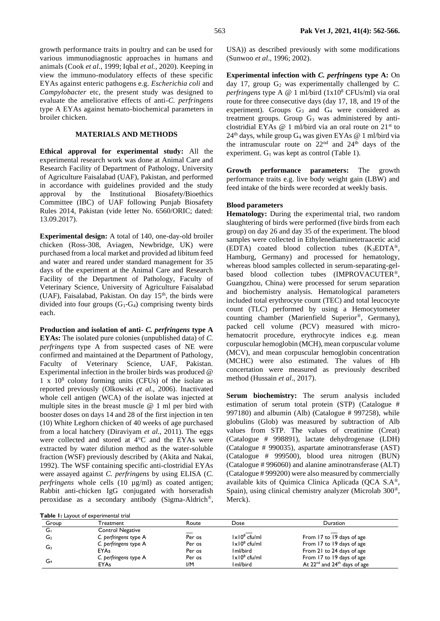growth performance traits in poultry and can be used for various immunodiagnostic approaches in humans and animals (Cook *et al.*, 1999; Iqbal *et al.*, 2020). Keeping in view the immuno-modulatory effects of these specific EYAs against enteric pathogens e.g. *Escherichia coli* and *Campylobacter* etc*,* the present study was designed to evaluate the ameliorative effects of anti-*C. perfringens*  type A EYAs against hemato-biochemical parameters in broiler chicken.

# **MATERIALS AND METHODS**

**Ethical approval for experimental study:** All the experimental research work was done at Animal Care and Research Facility of Department of Pathology, University of Agriculture Faisalabad (UAF), Pakistan, and performed in accordance with guidelines provided and the study approval by the Institutional Biosafety/Bioethics Committee (IBC) of UAF following Punjab Biosafety Rules 2014, Pakistan (vide letter No. 6560/ORIC; dated: 13.09.2017).

**Experimental design:** A total of 140, one-day-old broiler chicken (Ross-308, Aviagen, Newbridge, UK) were purchased from a local market and provided ad libitum feed and water and reared under standard management for 35 days of the experiment at the Animal Care and Research Facility of the Department of Pathology, Faculty of Veterinary Science, University of Agriculture Faisalabad (UAF), Faisalabad, Pakistan. On day  $15<sup>th</sup>$ , the birds were divided into four groups  $(G_1-G_4)$  comprising twenty birds each.

**Production and isolation of anti-** *C. perfringens* **type A EYAs:** The isolated pure colonies (unpublished data) of *C. perfringens* type A from suspected cases of NE were confirmed and maintained at the Department of Pathology, Faculty of Veterinary Science, UAF, Pakistan. Experimental infection in the broiler birds was produced @ 1 x 10<sup>8</sup> colony forming units (CFUs) of the isolate as reported previously (Olkowski *et al*., 2006). Inactivated whole cell antigen (WCA) of the isolate was injected at multiple sites in the breast muscle @ 1 ml per bird with booster doses on days 14 and 28 of the first injection in ten (10) White Leghorn chicken of 40 weeks of age purchased from a local hatchery (Diraviyam *et al*., 2011). The eggs were collected and stored at 4°C and the EYAs were extracted by water dilution method as the water-soluble fraction (WSF) previously described by (Akita and Nakai, 1992). The WSF containing specific anti-clostridial EYAs were assayed against *C. perfringens* by using ELISA (*C. perfringens* whole cells (10 µg/ml) as coated antigen; Rabbit anti-chicken IgG conjugated with horseradish peroxidase as a secondary antibody (Sigma-Aldrich®,

USA)) as described previously with some modifications (Sunwoo *et al*., 1996; 2002).

**Experimental infection with** *C. perfringens* **type A:** On day 17, group  $G_2$  was experimentally challenged by  $C$ . *perfringens* type A @ 1 ml/bird (1x10<sup>8</sup> CFUs/ml) via oral route for three consecutive days (day 17, 18, and 19 of the experiment). Groups  $G_3$  and  $G_4$  were considered as treatment groups. Group  $G_3$  was administered by anticlostridial EYAs @ 1 ml/bird via an oral route on 21st to  $24<sup>th</sup>$  days, while group G<sub>4</sub> was given EYAs @ 1 ml/bird via the intramuscular route on  $22<sup>nd</sup>$  and  $24<sup>th</sup>$  days of the experiment.  $G_1$  was kept as control (Table 1).

**Growth performance parameters:** The growth performance traits e.g. live body weight gain (LBW) and feed intake of the birds were recorded at weekly basis.

## **Blood parameters**

**Hematology:** During the experimental trial, two random slaughtering of birds were performed (five birds from each group) on day 26 and day 35 of the experiment. The blood samples were collected in Ethylenediaminetetraacetic acid (EDTA) coated blood collection tubes  $(K<sub>3</sub>EDTA<sup>®</sup>$ , Hamburg, Germany) and processed for hematology, whereas blood samples collected in serum-separating-gelbased blood collection tubes (IMPROVACUTER®, Guangzhou, China) were processed for serum separation and biochemistry analysis. Hematological parameters included total erythrocyte count (TEC) and total leucocyte count (TLC) performed by using a Hemocytometer counting chamber (Marienfield Superior®, Germany), packed cell volume (PCV) measured with microhematocrit procedure, erythrocyte indices e.g. mean corpuscular hemoglobin (MCH), mean corpuscular volume (MCV), and mean corpuscular hemoglobin concentration (MCHC) were also estimated. The values of Hb concertation were measured as previously described method (Hussain *et al*., 2017).

**Serum biochemistry:** The serum analysis included estimation of serum total protein (STP) (Catalogue # 997180) and albumin (Alb) (Catalogue # 997258), while globulins (Glob) was measured by subtraction of Alb values from STP. The values of creatinine (Creat) (Catalogue # 998891), lactate dehydrogenase (LDH) (Catalogue # 990035), aspartate aminotransferase (AST) (Catalogue # 999500), blood urea nitrogen (BUN) (Catalogue # 996060) and alanine aminotransferase (ALT) (Catalogue # 999200) were also measured by commercially available kits of Quimica Clinica Aplicada (QCA S.A®, Spain), using clinical chemistry analyzer (Microlab 300®, Merck).

|  |  | Table I: Layout of experimental trial |  |
|--|--|---------------------------------------|--|
|  |  |                                       |  |

| Group          | <b>Freatment</b>      | Route  | Dose                   | <b>Duration</b>                                      |
|----------------|-----------------------|--------|------------------------|------------------------------------------------------|
| Gı             | Control Negative      |        |                        |                                                      |
| G <sub>2</sub> | C. perfringens type A | Per os | $1 \times 10^8$ cfu/ml | From 17 to 19 days of age                            |
| G <sub>3</sub> | C. perfringens type A | Per os | $ x 0^8$ cfu/ml        | From 17 to 19 days of age                            |
|                | EYAs                  | Per os | Iml/bird               | From 21 to 24 days of age                            |
| G4             | C. perfringens type A | Per os | $1 \times 10^8$ cfu/ml | From 17 to 19 days of age                            |
|                | <b>EYAs</b>           | I/M    | l ml/bird              | At 22 <sup>nd</sup> and 24 <sup>th</sup> days of age |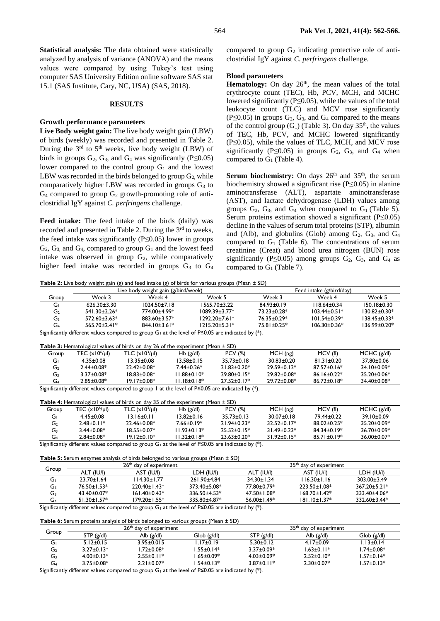**Statistical analysis:** The data obtained were statistically analyzed by analysis of variance (ANOVA) and the means values were compared by using Tukey's test using computer SAS University Edition online software SAS stat 15.1 (SAS Institute, Cary, NC, USA) (SAS, 2018).

## **RESULTS**

#### **Growth performance parameters**

**Live Body weight gain:** The live body weight gain (LBW) of birds (weekly) was recorded and presented in Table 2. During the  $3<sup>rd</sup>$  to  $5<sup>th</sup>$  weeks, live body weight (LBW) of birds in groups  $G_2$ ,  $G_3$ , and  $G_4$  was significantly (P≤0.05) lower compared to the control group  $G_1$  and the lowest LBW was recorded in the birds belonged to group  $G_2$ , while comparatively higher LBW was recorded in groups  $G_3$  to  $G_4$  compared to group  $G_2$  growth-promoting role of anticlostridial IgY against *C. perfringens* challenge.

**Feed intake:** The feed intake of the birds (daily) was recorded and presented in Table 2. During the 3<sup>rd</sup> to weeks, the feed intake was significantly (P≤0.05) lower in groups  $G_2$ ,  $G_3$  and  $G_4$ , compared to group  $G_1$  and the lowest feed intake was observed in group  $G_2$ , while comparatively higher feed intake was recorded in groups  $G_3$  to  $G_4$  compared to group  $G_2$  indicating protective role of anticlostridial IgY against *C. perfringens* challenge.

#### **Blood parameters**

**Hematology:** On day 26<sup>th</sup>, the mean values of the total erythrocyte count (TEC), Hb, PCV, MCH, and MCHC lowered significantly (P≤0.05), while the values of the total leukocyte count (TLC) and MCV rose significantly  $(P \le 0.05)$  in groups  $G_2$ ,  $G_3$ , and  $G_4$  compared to the means of the control group  $(G_1)$  (Table 3). On day 35<sup>th</sup>, the values of TEC, Hb, PCV, and MCHC lowered significantly (P≤0.05), while the values of TLC, MCH, and MCV rose significantly (P≤0.05) in groups  $G_2$ ,  $G_3$ , and  $G_4$  when compared to  $G_1$  (Table 4).

**Serum biochemistry:** On days  $26<sup>th</sup>$  and  $35<sup>th</sup>$ , the serum biochemistry showed a significant rise (P≤0.05) in alanine aminotransferase (ALT), aspartate aminotransferase (AST), and lactate dehydrogenase (LDH) values among groups  $G_2$ ,  $G_3$ , and  $G_4$  when compared to  $G_1$  (Table 5). Serum proteins estimation showed a significant (P≤0.05) decline in the values of serum total proteins (STP), albumin and (Alb), and globulins (Glob) among  $G_2$ ,  $G_3$ , and  $G_4$ compared to  $G_1$  (Table 6). The concentrations of serum creatinine (Creat) and blood urea nitrogen (BUN) rose significantly (P≤0.05) among groups  $G_2$ ,  $G_3$ , and  $G_4$  as compared to  $G_1$  (Table 7).

**Table 2:** Live body weight gain (g) and feed intake (g) of birds for various groups (Mean ± SD)

|       | Live body weight gain (g/bird/week) |                     |                     | Feed intake (g/bird/day) |                    |                    |
|-------|-------------------------------------|---------------------|---------------------|--------------------------|--------------------|--------------------|
| Group | Week 3                              | Week 4              | Week 5              | Week 3                   | Week 4             | Week 5             |
| Gı    | $626.30 + 3.30$                     | $1024.50 \pm 7.18$  | 1565.70+3.22        | $84.93 + 0.19$           | $118.64 + 0.34$    | $150.18 + 0.30$    |
| G2    | $541.30 \pm 2.26*$                  | 774.00±4.99*        | $1089.39 \pm 3.77*$ | 73.23+0.28*              | $103.44 \pm 0.51*$ | $130.82 \pm 0.30*$ |
| G3    | $572.60 \pm 3.63^*$                 | 883.60+3.57*        | 1292.20+7.61*       | 76.35+0.29*              | $101.54 \pm 0.39*$ | $138.45 + 0.33*$   |
| G4    | $565.70 \pm 2.41*$                  | $844.10 \pm 3.61$ * | $1215.20 + 5.31*$   | $75.81 + 0.25*$          | $106.30 \pm 0.36*$ | $136.99 \pm 0.20*$ |
|       |                                     | $\sim$ $\sim$       | .                   |                          |                    |                    |

Significantly different values compared to group G<sub>1</sub> at the level of P≤0.05 are indicated by (\*).

**Table 3:** Hematological values of birds on day 26 of the experiment (Mean ± SD)

| Group         | TEC $(x106/u)$ | TLC $(x10^3/\mu l)$ | $Hb$ (g/dl)    | PCV (%)         | MCH(pg)            | MCV (fl)         | $MCHC$ (g/dl)   |  |
|---------------|----------------|---------------------|----------------|-----------------|--------------------|------------------|-----------------|--|
| Gı            | 4.35+0.08      | 13.35+0.08          | 13.58+0.15     | $35.73 + 0.18$  | $30.83 + 0.20$     | $81.31 \pm 0.20$ | 37.80+0.06      |  |
| G2            | $7.44 + 0.08*$ | $22.42 + 0.08*$     | 7.44+0.26*     | $21.83 + 0.20*$ | $29.59 \pm 0.12*$  | $87.57 + 0.16*$  | $34.10 + 0.09*$ |  |
| G٦            | $3.37 + 0.08*$ | 18.83+0.08*         | $1.88 + 0.10*$ | $29.80 + 0.15*$ | $79.87 + 0.08*$    | $86.16 + 0.22*$  | $35.20 + 0.06*$ |  |
| G4            | $2.85 + 0.08*$ | $19.17 + 0.08*$     | $1.18 + 0.18*$ | $27.52+0.17*$   | $29.72 \pm 0.08^*$ | $86.72 + 0.18*$  | $34.40 + 0.08*$ |  |
| $\sim$ $\sim$ |                |                     | .              |                 |                    |                  |                 |  |

Significantly different values compared to group 1 at the level of P≤0.05 are indicated by (\*).

| <b>Table 4:</b> Hematological values of birds on day 35 of the experiment (Mean $\pm$ SD)                                                         |                   |                     |                   |                   |                    |                    |                   |
|---------------------------------------------------------------------------------------------------------------------------------------------------|-------------------|---------------------|-------------------|-------------------|--------------------|--------------------|-------------------|
| Group                                                                                                                                             | TEC $(x10^6/\mu)$ | TLC $(x10^3/\mu l)$ | $Hb$ (g/dl)       | <b>PCV (%)</b>    | MCH(pg)            | MCV (fl)           | $MCHC$ (g/dl)     |
| Gı                                                                                                                                                | $4.45 \pm 0.08$   | $13.16 \pm 0.11$    | $13.82 \pm 0.16$  | $35.73 \pm 0.13$  | $30.07 \pm 0.18$   | 79.44±0.22         | $39.10 \pm 0.09$  |
| G2                                                                                                                                                | $2.48 \pm 0.11*$  | 22.46±0.08*         | $7.66 \pm 0.19*$  | $21.94 \pm 0.23*$ | $32.52 \pm 0.17^*$ | $88.02 \pm 0.25$ * | $35.20 \pm 0.09*$ |
| G3                                                                                                                                                | $3.44 \pm 0.08^*$ | $18.55 + 0.07*$     | $11.93 \pm 0.13*$ | $25.52 \pm 0.15*$ | $31.49 \pm 0.23^*$ | $84.34 \pm 0.19*$  | $36.70 \pm 0.09*$ |
| $11.32 \pm 0.18^*$<br>$31.92 \pm 0.15^*$<br>36.00±0.07*<br>$2.84 \pm 0.08*$<br>$19.12 \pm 0.10*$<br>$23.63 \pm 0.20^*$<br>$85.71 \pm 0.19*$<br>G4 |                   |                     |                   |                   |                    |                    |                   |
| Significantly different values compared to group $G_1$ at the level of P $\leq 0.05$ are indicated by (*).                                        |                   |                     |                   |                   |                    |                    |                   |

**Table 5:** Serum enzymes analysis of birds belonged to various groups (Mean  $\pm$  SD)

|                |                    | $26th$ day of experiment |                     |                    | 35 <sup>th</sup> day of experiment |                     |
|----------------|--------------------|--------------------------|---------------------|--------------------|------------------------------------|---------------------|
| Group          | ALT (IU/I)         | AST (IU/I)               | LDH (IU/I)          | ALT (IU/I)         | AST (IU/I)                         | LDH (IU/I)          |
| G              | $23.70 \pm 1.64$   | 114.30+1.77              | 261.90±4.84         | $34.30 \pm 1.34$   | $116.30 \pm 1.16$                  | $303.00 \pm 3.49$   |
| $\mathsf{G}_2$ | $76.50 \pm 1.53$ * | $220.40 \pm 1.43*$       | $373.40 \pm 5.08^*$ | 77.80±0.79*        | $223.50 \pm 1.08^*$                | $367.20 \pm 5.21$ * |
| ∼<br>GЗ        | $43.40 \pm 0.07^*$ | $161.40 \pm 0.43*$       | $336.50 \pm 4.53*$  | $47.50 \pm 1.08^*$ | $168.70 \pm 1.42^*$                | 333.40±4.06*        |
| ∼<br>4ف        | $51.30 \pm 1.57$ * | 179.20±1.55*             | 335.80±4.87*        | $56.00 \pm 1.49*$  | $181.10 \pm 1.37$ *                | $332.60 \pm 3.44*$  |

Significantly different values compared to group G<sub>1</sub> at the level of P≤0.05 are indicated by (\*).

## **Table 6:** Serum proteins analysis of birds belonged to various groups (Mean ± SD)

|       |                  | $26th$ day of experiment |                 |                  | $35th$ day of experiment |                  |
|-------|------------------|--------------------------|-----------------|------------------|--------------------------|------------------|
| Group | STP(g/dl)        | Alb $(g/d)$              | Glob(g/dl)      | STP(g/dl)        | Alb $(g/d)$              | Glob (g/dl)      |
| Gı    | $5.12 \pm 0.15$  | $3.95 \pm 0.015$         | $.17 \pm 0.19$  | $5.30 \pm 0.12$  | $4.17 + 0.09$            | $13+0.14$        |
| G2    | $3.27 \pm 0.13*$ | $1.72 \pm 0.08*$         | $.55 \pm 0.14*$ | $3.37 \pm 0.09*$ | $1.63 \pm 0.11*$         | $.74 \pm 0.08*$  |
| GЗ    | $4.00 \pm 0.13*$ | $2.55 \pm 0.11*$         | $.65 \pm 0.09*$ | $4.03 \pm 0.09*$ | $2.52 \pm 0.10^*$        | $1.57 \pm 0.14*$ |
| 4ڡ    | $3.75 \pm 0.08*$ | $2.21 \pm 0.07*$         | $.54 \pm 0.13*$ | $3.87 \pm 0.11*$ | $2.30 \pm 0.07^*$        | $.57 \pm 0.13*$  |

Significantly different values compared to group G<sub>1</sub> at the level of P≤0.05 are indicated by (\*).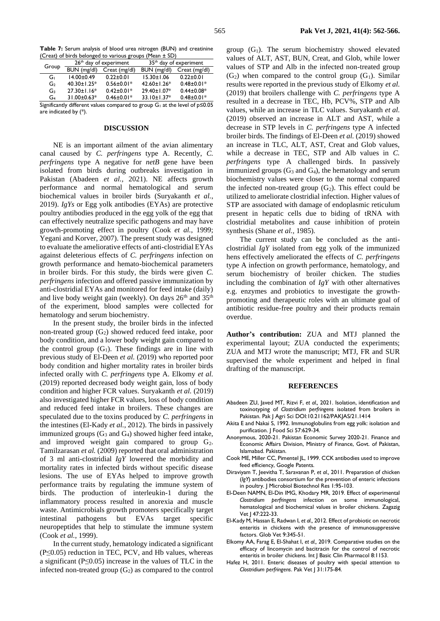**Table 7:** Serum analysis of blood urea nitrogen (BUN) and creatinine (Creat) of birds belonged to various groups (Mean ± SD)

|                                                                           |                   | 26 <sup>th</sup> day of experiment | $35th$ day of experiment |                  |  |  |
|---------------------------------------------------------------------------|-------------------|------------------------------------|--------------------------|------------------|--|--|
| Group                                                                     | BUN (mg/dl)       | Creat (mg/dl)                      | BUN (mg/dl)              | Creat (mg/dl)    |  |  |
| Gı                                                                        | $14.00 \pm 0.49$  | $0.22 \pm 0.01$                    | $15.30 \pm 1.06$         | $0.22 \pm 0.01$  |  |  |
| G <sub>2</sub>                                                            | 40.30±1.25*       | $0.56 \pm 0.01*$                   | 42.60±1.26*              | $0.48 \pm 0.01*$ |  |  |
| G3                                                                        | $27.30 \pm 1.16*$ | $0.42 \pm 0.01*$                   | 29.40±1.07*              | $0.44 \pm 0.08*$ |  |  |
| G4                                                                        | 31.00±0.63*       | $0.46 \pm 0.01*$                   | 33.10±1.37*              | $0.48 \pm 0.01*$ |  |  |
| Significantly different values compared to group Guat the level of p<0.05 |                   |                                    |                          |                  |  |  |

Significantly different values compared to group  $G_1$  at the level of  $p \le 0.05$ are indicated by (\*).

### **DISCUSSION**

NE is an important ailment of the avian alimentary canal caused by *C. perfringens* type A. Recently, *C. perfringens* type A negative for *netB* gene have been isolated from birds during outbreaks investigation in Pakistan (Abadeen *et al.,* 2021). NE affects growth performance and normal hematological and serum biochemical values in broiler birds (Suryakanth *et al.*, 2019). *IgYs* or Egg yolk antibodies (EYAs) are protective poultry antibodies produced in the egg yolk of the egg that can effectively neutralize specific pathogens and may have growth-promoting effect in poultry (Cook *et al.*, 1999; Yegani and Korver, 2007). The present study was designed to evaluate the ameliorative effects of anti-clostridial EYAs against deleterious effects of *C. perfringens* infection on growth performance and hemato-biochemical parameters in broiler birds. For this study, the birds were given *C. perfringens* infection and offered passive immunization by anti-clostridial EYAs and monitored for feed intake (daily) and live body weight gain (weekly). On days  $26<sup>th</sup>$  and  $35<sup>th</sup>$ of the experiment, blood samples were collected for hematology and serum biochemistry.

In the present study, the broiler birds in the infected non-treated group  $(G_2)$  showed reduced feed intake, poor body condition, and a lower body weight gain compared to the control group  $(G_1)$ . These findings are in line with previous study of El-Deen *et al.* (2019) who reported poor body condition and higher mortality rates in broiler birds infected orally with *C. perfringens* type A. Elkomy *et al.* (2019) reported decreased body weight gain, loss of body condition and higher FCR values. Suryakanth *et al.* (2019) also investigated higher FCR values, loss of body condition and reduced feed intake in broilers. These changes are speculated due to the toxins produced by *C. perfringens* in the intestines (El-Kady *et al.*, 2012). The birds in passively immunized groups  $(G_3 \text{ and } G_4)$  showed higher feed intake, and improved weight gain compared to group  $G_2$ . Tamilzarasan *et al.* (2009) reported that oral administration of 3 ml anti-clostridial *IgY* lowered the morbidity and mortality rates in infected birds without specific disease lesions. The use of EYAs helped to improve growth performance traits by regulating the immune system of birds. The production of interleukin-1 during the inflammatory process resulted in anorexia and muscle waste. Antimicrobials growth promoters specifically target intestinal pathogens but EVAs target specific neuropeptides that help to stimulate the immune system (Cook *et al.*, 1999).

In the current study, hematology indicated a significant  $(P \le 0.05)$  reduction in TEC, PCV, and Hb values, whereas a significant (P≤0.05) increase in the values of TLC in the infected non-treated group  $(G_2)$  as compared to the control

group  $(G_1)$ . The serum biochemistry showed elevated values of ALT, AST, BUN, Creat, and Glob, while lower values of STP and Alb in the infected non-treated group  $(G_2)$  when compared to the control group  $(G_1)$ . Similar results were reported in the previous study of Elkomy *et al.* (2019) that broilers challenge with *C. perfringens* type A resulted in a decrease in TEC, Hb, PCV%, STP and Alb values, while an increase in TLC values. Suryakanth *et al.* (2019) observed an increase in ALT and AST, while a decrease in STP levels in *C. perfringens* type A infected broiler birds. The findings of El-Deen *et al.* (2019) showed an increase in TLC, ALT, AST, Creat and Glob values, while a decrease in TEC, STP and Alb values in *C. perfringens* type A challenged birds. In passively immunized groups  $(G_3 \text{ and } G_4)$ , the hematology and serum biochemistry values were closer to the normal compared the infected non-treated group  $(G_2)$ . This effect could be utilized to ameliorate clostridial infection. Higher values of STP are associated with damage of endoplasmic reticulum present in hepatic cells due to biding of tRNA with clostridial metabolites and cause inhibition of protein synthesis (Shane *et al.,* 1985).

The current study can be concluded as the anticlostridial *IgY* isolated from egg yolk of the immunized hens effectively ameliorated the effects of *C. perfringens* type A infection on growth performance, hematology, and serum biochemistry of broiler chicken. The studies including the combination of *IgY* with other alternatives e.g. enzymes and probiotics to investigate the growthpromoting and therapeutic roles with an ultimate goal of antibiotic residue-free poultry and their products remain overdue.

**Author's contribution:** ZUA and MTJ planned the experimental layout; ZUA conducted the experiments; ZUA and MTJ wrote the manuscript; MTJ, FR and SUR supervised the whole experiment and helped in final drafting of the manuscript.

#### **REFERENCES**

- Abadeen ZU, Javed MT, Rizvi F, *et al.,* 2021. Isolation, identification and toxinotyping of *Clostridium perfringens* isolated from broilers in Pakistan. Pak J Agri Sci DOI:10.21162/PAKJAS/21.1414
- Akita E and Nakai S, 1992. Immunoglobulins from egg yolk: isolation and purification. J Food Sci 57:629-34.
- Anonymous, 2020-21. Pakistan Economic Survey 2020-21. Finance and Economic Affairs Division, Ministry of Finance, Govt. of Pakistan, Islamabad. Pakistan.
- Cook ME, Miller CC, Pimentel JL, 1999. CCK antibodies used to improve feed efficiency, Google Patents.
- Diraviyam T, Jeevitha T, Saravanan P, *et al.,* 2011. Preparation of chicken (*IgY*) antibodies consortium for the prevention of enteric infections in poultry. J Microbiol Biotechnol Res 1:95-103.
- El-Deen NAMN, El-Din IMG, Khodary MR, 2019. Effect of experimental *Clostridium perfringens* infection on some immunological, hematological and biochemical values in broiler chickens. Zagazig Vet J 47:222-33.
- El-Kady M, Hassan E, Radwan I, *et al.,* 2012. Effect of probiotic on necrotic enteritis in chickens with the presence of immunosuppressive factors. Glob Vet 9:345-51.
- Elkomy AA, Farag E, El-Shahat I, *et al.,* 2019. Comparative studies on the efficacy of lincomycin and bacitracin for the control of necrotic enteritis in broiler chickens. Int J Basic Clin Pharmacol 8:1153.
- Hafez H, 2011. Enteric diseases of poultry with special attention to *Clostridium perfringens*. Pak Vet J 31:175-84.